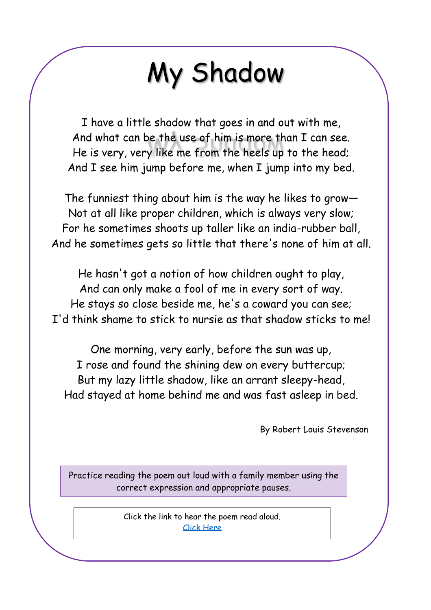# My Shadow

I have a little shadow that goes in and out with me, And what can be the use of him is more than I can see. He is very, very like me from the heels up to the head; And I see him jump before me, when I jump into my bed.

The funniest thing about him is the way he likes to grow— Not at all like proper children, which is always very slow; For he sometimes shoots up taller like an india-rubber ball, And he sometimes gets so little that there's none of him at all.

He hasn't got a notion of how children ought to play, And can only make a fool of me in every sort of way. He stays so close beside me, he's a coward you can see; I'd think shame to stick to nursie as that shadow sticks to me!

One morning, very early, before the sun was up, I rose and found the shining dew on every buttercup; But my lazy little shadow, like an arrant sleepy-head, Had stayed at home behind me and was fast asleep in bed.

By Robert Louis Stevenson

Practice reading the poem out loud with a family member using the correct expression and appropriate pauses.

> Click the link to hear the poem read aloud. [Click Here](https://www.youtube.com/watch?v=Ha5Dp2NGFRM)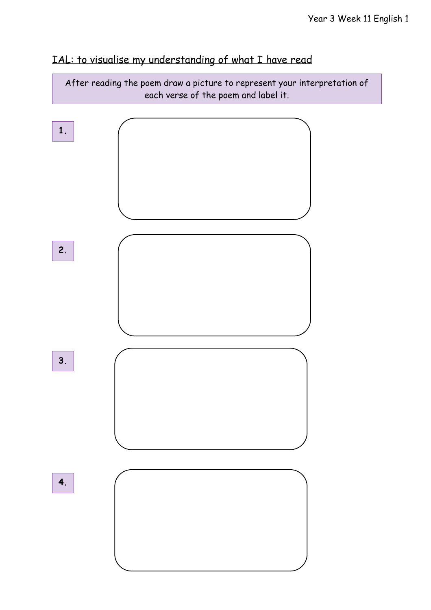### IAL: to visualise my understanding of what I have read

After reading the poem draw a picture to represent your interpretation of each verse of the poem and label it.

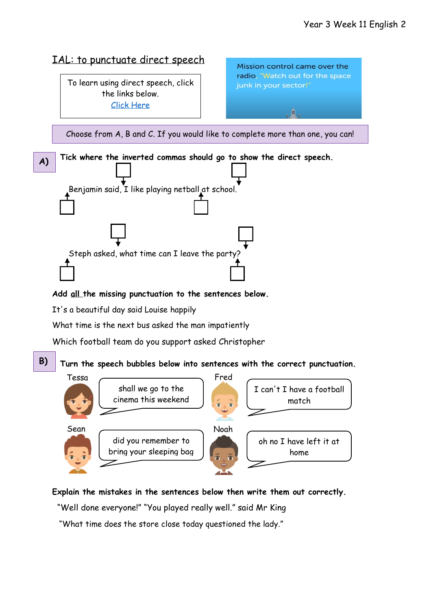

#### **Explain the mistakes in the sentences below then write them out correctly.**

"Well done everyone!" "You played really well." said Mr King

"What time does the store close today questioned the lady."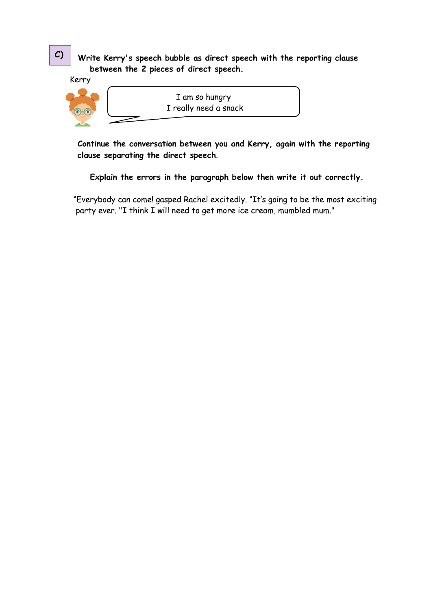#### **Write Kerry's speech bubble as direct speech with the reporting clause between the 2 pieces of direct speech.**

Kerry



I am so hungry I really need a snack

**Continue the conversation between you and Kerry, again with the reporting clause separating the direct speech**.

 **Explain the errors in the paragraph below then write it out correctly.**

 "Everybody can come! gasped Rachel excitedly. "It's going to be the most exciting party ever. "I think I will need to get more ice cream, mumbled mum."

**C)**